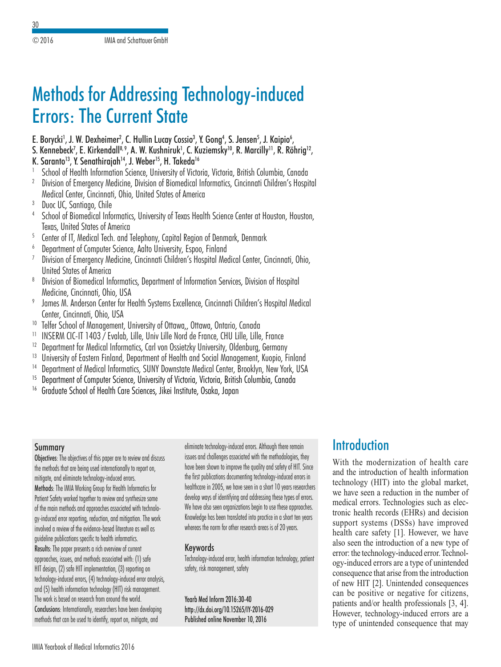# Methods for Addressing Technology-induced Errors: The Current State

E. Borycki<sup>1</sup>, J. W. Dexheimer<sup>2</sup>, C. Hullin Lucay Cossio<sup>3</sup>, Y. Gong<sup>4</sup>, S. Jensen<sup>5</sup>, J. Kaipio<sup>6</sup>,

S. Kennebeck<sup>7</sup>, E. Kirkendall<sup>8, 9</sup>, A. W. Kushniruk<sup>1</sup>, C. Kuziemsky<sup>10</sup>, R. Marcilly<sup>11</sup>, R. Röhrig<sup>12</sup>,

K. Saranto<sup>13</sup>, Y. Senathirajah<sup>14</sup>, J. Weber<sup>15</sup>, H. Takeda<sup>16</sup>

- <sup>1</sup> School of Health Information Science, University of Victoria, Victoria, British Columbia, Canada<br><sup>2</sup> Division of Emergency Medicine, Division of Biomedical Informatics, Cincinnati Children's Hespi
- <sup>2</sup> Division of Emergency Medicine, Division of Biomedical Informatics, Cincinnati Children's Hospital Medical Center, Cincinnati, Ohio, United States of America
- <sup>3</sup> Duoc UC, Santiago, Chile
- <sup>4</sup> School of Biomedical Informatics, University of Texas Health Science Center at Houston, Houston, Texas, United States of America
- <sup>5</sup> Center of IT, Medical Tech. and Telephony, Capital Region of Denmark, Denmark
- <sup>6</sup> Department of Computer Science, Aalto University, Espoo, Finland
- <sup>7</sup> Division of Emergency Medicine, Cincinnati Children's Hospital Medical Center, Cincinnati, Ohio, United States of America
- <sup>8</sup> Division of Biomedical Informatics, Department of Information Services, Division of Hospital Medicine, Cincinnati, Ohio, USA
- <sup>9</sup> James M. Anderson Center for Health Systems Excellence, Cincinnati Children's Hospital Medical Center, Cincinnati, Ohio, USA
- <sup>10</sup> Telfer School of Management, University of Ottawa, Ottawa, Ontario, Canada
- <sup>11</sup> INSERM CIC-IT 1403 / Evalab, Lille, Univ Lille Nord de France, CHU Lille, Lille, France<br><sup>12</sup> Denartment for Medical Informatics, Carl von Ossietzky University, Oldenburg, Germany
- <sup>12</sup> Department for Medical Informatics, Carl von Ossietzky University, Oldenburg, Germany
- <sup>13</sup> University of Eastern Finland, Department of Health and Social Management, Kuopio, Finland<br><sup>14</sup> Department of Medical Informatics, SUNY Downstate Medical Center, Brooklyn, New York, USA
- <sup>14</sup> Department of Medical Informatics, SUNY Downstate Medical Center, Brooklyn, New York, USA
- <sup>15</sup> Department of Computer Science, University of Victoria, Victoria, British Columbia, Canada
- <sup>16</sup> Graduate School of Health Care Sciences, Jikei Institute, Osaka, Japan

# Summary

Objectives: The objectives of this paper are to review and discuss the methods that are being used internationally to report on, mitigate, and eliminate technology-induced errors. Methods: The IMIA Working Group for Health Informatics for Patient Safety worked together to review and synthesize some of the main methods and approaches associated with technology-induced error reporting, reduction, and mitigation. The work involved a review of the evidence-based literature as well as guideline publications specific to health informatics. Results: The paper presents a rich overview of current approaches, issues, and methods associated with: (1) safe HIT design, (2) safe HIT implementation, (3) reporting on technology-induced errors, (4) technology-induced error analysis, and (5) health information technology (HIT) risk management. The work is based on research from around the world. Conclusions: Internationally, researchers have been developing methods that can be used to identify, report on, mitigate, and

eliminate technology-induced errors. Although there remain issues and challenges associated with the methodologies, they have been shown to improve the quality and safety of HIT. Since the first publications documenting technology-induced errors in healthcare in 2005, we have seen in a short 10 years researchers develop ways of identifying and addressing these types of errors. We have also seen organizations begin to use these approaches. Knowledge has been translated into practice in a short ten years whereas the norm for other research areas is of 20 years.

## Keywords

Technology-induced error, health information technology, patient safety, risk management, safety

Yearb Med Inform 2016:30-40 http://dx.doi.org/10.15265/IY-2016-029 Published online November 10, 2016

# **Introduction**

With the modernization of health care and the introduction of health information technology (HIT) into the global market, we have seen a reduction in the number of medical errors. Technologies such as electronic health records (EHRs) and decision support systems (DSSs) have improved health care safety [1]. However, we have also seen the introduction of a new type of error: the technology-induced error. Technology-induced errors are a type of unintended consequence that arise from the introduction of new HIT [2]. Unintended consequences can be positive or negative for citizens, patients and/or health professionals [3, 4]. However, technology-induced errors are a type of unintended consequence that may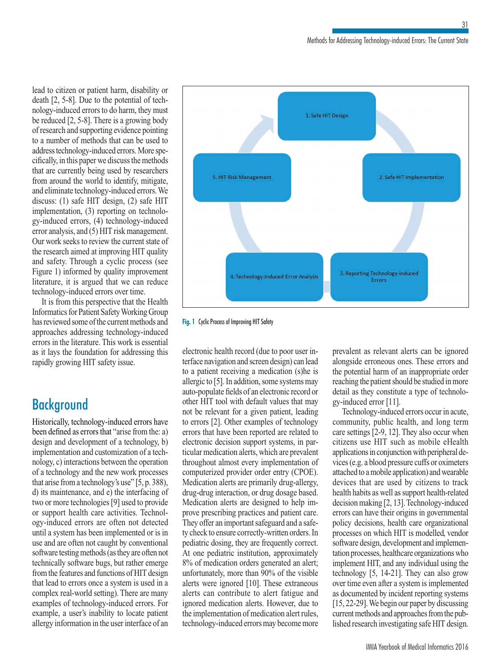31

lead to citizen or patient harm, disability or death [2, 5-8]. Due to the potential of technology-induced errors to do harm, they must be reduced [2, 5-8]. There is a growing body of research and supporting evidence pointing to a number of methods that can be used to address technology-induced errors. More specifically, in this paper we discuss the methods that are currently being used by researchers from around the world to identify, mitigate, and eliminate technology-induced errors. We discuss: (1) safe HIT design, (2) safe HIT implementation, (3) reporting on technology-induced errors, (4) technology-induced error analysis, and (5) HIT risk management. Our work seeks to review the current state of the research aimed at improving HIT quality and safety. Through a cyclic process (see Figure 1) informed by quality improvement literature, it is argued that we can reduce technology-induced errors over time.

It is from this perspective that the Health Informatics for Patient Safety Working Group has reviewed some of the current methods and approaches addressing technology-induced errors in the literature. This work is essential as it lays the foundation for addressing this rapidly growing HIT safety issue.

# **Background**

Historically, technology-induced errors have been defined as errors that "arise from the: a) design and development of a technology, b) implementation and customization of a technology, c) interactions between the operation of a technology and the new work processes that arise from a technology's use" [5, p. 388), d) its maintenance, and e) the interfacing of two or more technologies [9] used to provide or support health care activities. Technology-induced errors are often not detected until a system has been implemented or is in use and are often not caught by conventional software testing methods (as they are often not technically software bugs, but rather emerge from the features and functions of HIT design that lead to errors once a system is used in a complex real-world setting). There are many examples of technology-induced errors. For example, a user's inability to locate patient allergy information in the user interface of an



**Fig. 1** Cyclic Process of Improving HIT Safety

electronic health record (due to poor user interface navigation and screen design) can lead to a patient receiving a medication (s)he is allergic to [5]. In addition, some systems may auto-populate fields of an electronic record or other HIT tool with default values that may not be relevant for a given patient, leading to errors [2]. Other examples of technology errors that have been reported are related to electronic decision support systems, in particular medication alerts, which are prevalent throughout almost every implementation of computerized provider order entry (CPOE). Medication alerts are primarily drug-allergy, drug-drug interaction, or drug dosage based. Medication alerts are designed to help improve prescribing practices and patient care. They offer an important safeguard and a safety check to ensure correctly-written orders. In pediatric dosing, they are frequently correct. At one pediatric institution, approximately 8% of medication orders generated an alert; unfortunately, more than 90% of the visible alerts were ignored [10]. These extraneous alerts can contribute to alert fatigue and ignored medication alerts. However, due to the implementation of medication alert rules, technology-induced errors may become more prevalent as relevant alerts can be ignored alongside erroneous ones. These errors and the potential harm of an inappropriate order reaching the patient should be studied in more detail as they constitute a type of technology-induced error [11].

Technology-induced errors occur in acute, community, public health, and long term care settings [2-9, 12]. They also occur when citizens use HIT such as mobile eHealth applications in conjunction with peripheral devices (e.g. a blood pressure cuffs or oximeters attached to a mobile application) and wearable devices that are used by citizens to track health habits as well as support health-related decision making [2, 13]. Technology-induced errors can have their origins in governmental policy decisions, health care organizational processes on which HIT is modelled, vendor software design, development and implementation processes, healthcare organizations who implement HIT, and any individual using the technology [5, 14-21]. They can also grow over time even after a system is implemented as documented by incident reporting systems [15, 22-29]. We begin our paper by discussing current methods and approaches from the published research investigating safe HIT design.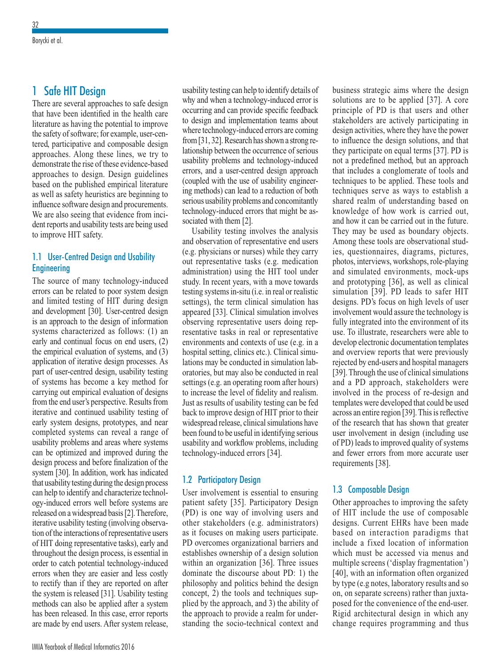# 1 Safe HIT Design

There are several approaches to safe design that have been identified in the health care literature as having the potential to improve the safety of software; for example, user-centered, participative and composable design approaches. Along these lines, we try to demonstrate the rise of these evidence-based approaches to design. Design guidelines based on the published empirical literature as well as safety heuristics are beginning to influence software design and procurements. We are also seeing that evidence from incident reports and usability tests are being used to improve HIT safety.

#### 1.1 User-Centred Design and Usability **Engineering**

The source of many technology-induced errors can be related to poor system design and limited testing of HIT during design and development [30]. User-centred design is an approach to the design of information systems characterized as follows: (1) an early and continual focus on end users, (2) the empirical evaluation of systems, and (3) application of iterative design processes. As part of user-centred design, usability testing of systems has become a key method for carrying out empirical evaluation of designs from the end user's perspective. Results from iterative and continued usability testing of early system designs, prototypes, and near completed systems can reveal a range of usability problems and areas where systems can be optimized and improved during the design process and before finalization of the system [30]. In addition, work has indicated that usability testing during the design process can help to identify and characterize technology-induced errors well before systems are released on a widespread basis [2]. Therefore, iterative usability testing (involving observation of the interactions of representative users of HIT doing representative tasks), early and throughout the design process, is essential in order to catch potential technology-induced errors when they are easier and less costly to rectify than if they are reported on after the system is released [31]. Usability testing methods can also be applied after a system has been released. In this case, error reports are made by end users. After system release,

usability testing can help to identify details of why and when a technology-induced error is occurring and can provide specific feedback to design and implementation teams about where technology-induced errors are coming from [31, 32]. Research has shown a strong relationship between the occurrence of serious usability problems and technology-induced errors, and a user-centred design approach (coupled with the use of usability engineering methods) can lead to a reduction of both serious usability problems and concomitantly technology-induced errors that might be associated with them [2].

Usability testing involves the analysis and observation of representative end users (e.g. physicians or nurses) while they carry out representative tasks (e.g. medication administration) using the HIT tool under study. In recent years, with a move towards testing systems in-situ (i.e. in real or realistic settings), the term clinical simulation has appeared [33]. Clinical simulation involves observing representative users doing representative tasks in real or representative environments and contexts of use (e.g. in a hospital setting, clinics etc.). Clinical simulations may be conducted in simulation laboratories, but may also be conducted in real settings (e.g. an operating room after hours) to increase the level of fidelity and realism. Just as results of usability testing can be fed back to improve design of HIT prior to their widespread release, clinical simulations have been found to be useful in identifying serious usability and workflow problems, including technology-induced errors [34].

## 1.2 Participatory Design

User involvement is essential to ensuring patient safety [35]. Participatory Design (PD) is one way of involving users and other stakeholders (e.g. administrators) as it focuses on making users participate. PD overcomes organizational barriers and establishes ownership of a design solution within an organization [36]. Three issues dominate the discourse about PD: 1) the philosophy and politics behind the design concept, 2) the tools and techniques supplied by the approach, and 3) the ability of the approach to provide a realm for understanding the socio-technical context and

business strategic aims where the design solutions are to be applied [37]. A core principle of PD is that users and other stakeholders are actively participating in design activities, where they have the power to influence the design solutions, and that they participate on equal terms [37]. PD is not a predefined method, but an approach that includes a conglomerate of tools and techniques to be applied. These tools and techniques serve as ways to establish a shared realm of understanding based on knowledge of how work is carried out, and how it can be carried out in the future. They may be used as boundary objects. Among these tools are observational studies, questionnaires, diagrams, pictures, photos, interviews, workshops, role-playing and simulated environments, mock-ups and prototyping [36], as well as clinical simulation [39]. PD leads to safer HIT designs. PD's focus on high levels of user involvement would assure the technology is fully integrated into the environment of its use. To illustrate, researchers were able to develop electronic documentation templates and overview reports that were previously rejected by end-users and hospital managers [39]. Through the use of clinical simulations and a PD approach, stakeholders were involved in the process of re-design and templates were developed that could be used across an entire region [39]. This is reflective of the research that has shown that greater user involvement in design (including use of PD) leads to improved quality of systems and fewer errors from more accurate user requirements [38].

## 1.3 Composable Design

Other approaches to improving the safety of HIT include the use of composable designs. Current EHRs have been made based on interaction paradigms that include a fixed location of information which must be accessed via menus and multiple screens ('display fragmentation') [40], with an information often organized by type (e.g notes, laboratory results and so on, on separate screens) rather than juxtaposed for the convenience of the end-user. Rigid architectural design in which any change requires programming and thus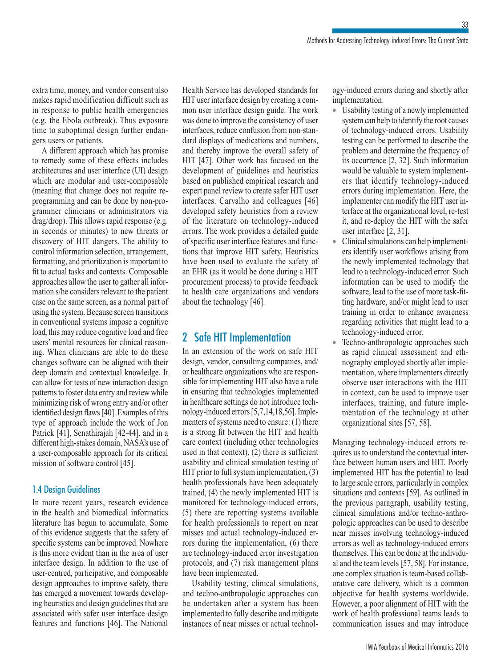extra time, money, and vendor consent also makes rapid modification difficult such as in response to public health emergencies (e.g. the Ebola outbreak). Thus exposure time to suboptimal design further endangers users or patients.

A different approach which has promise to remedy some of these effects includes architectures and user interface (UI) design which are modular and user-composable (meaning that change does not require reprogramming and can be done by non-programmer clinicians or administrators via drag/drop). This allows rapid response (e.g. in seconds or minutes) to new threats or discovery of HIT dangers. The ability to control information selection, arrangement, formatting, and prioritization is important to fit to actual tasks and contexts. Composable approaches allow the user to gather all information s/he considers relevant to the patient case on the same screen, as a normal part of using the system. Because screen transitions in conventional systems impose a cognitive load, this may reduce cognitive load and free users' mental resources for clinical reasoning. When clinicians are able to do these changes software can be aligned with their deep domain and contextual knowledge. It can allow for tests of new interaction design patterns to foster data entry and review while minimizing risk of wrong entry and/or other identified design flaws [40]. Examples of this type of approach include the work of Jon Patrick [41], Senathirajah [42-44], and in a different high-stakes domain, NASA's use of a user-composable approach for its critical mission of software control [45].

## 1.4 Design Guidelines

In more recent years, research evidence in the health and biomedical informatics literature has begun to accumulate. Some of this evidence suggests that the safety of specific systems can be improved. Nowhere is this more evident than in the area of user interface design. In addition to the use of user-centred, participative, and composable design approaches to improve safety, there has emerged a movement towards developing heuristics and design guidelines that are associated with safer user interface design features and functions [46]. The National

Health Service has developed standards for HIT user interface design by creating a common user interface design guide. The work was done to improve the consistency of user interfaces, reduce confusion from non-standard displays of medications and numbers, and thereby improve the overall safety of HIT [47]. Other work has focused on the development of guidelines and heuristics based on published empirical research and expert panel review to create safer HIT user interfaces. Carvalho and colleagues [46] developed safety heuristics from a review of the literature on technology-induced errors. The work provides a detailed guide of specific user interface features and functions that improve HIT safety. Heuristics have been used to evaluate the safety of an EHR (as it would be done during a HIT procurement process) to provide feedback to health care organizations and vendors about the technology [46].

# 2 Safe HIT Implementation

In an extension of the work on safe HIT design, vendor, consulting companies, and/ or healthcare organizations who are responsible for implementing HIT also have a role in ensuring that technologies implemented in healthcare settings do not introduce technology-induced errors [5,7,14,18,56]. Implementers of systems need to ensure: (1) there is a strong fit between the HIT and health care context (including other technologies used in that context), (2) there is sufficient usability and clinical simulation testing of HIT prior to full system implementation, (3) health professionals have been adequately trained, (4) the newly implemented HIT is monitored for technology-induced errors, (5) there are reporting systems available for health professionals to report on near misses and actual technology-induced errors during the implementation, (6) there are technology-induced error investigation protocols, and (7) risk management plans have been implemented.

Usability testing, clinical simulations, and techno-anthropologic approaches can be undertaken after a system has been implemented to fully describe and mitigate instances of near misses or actual technology-induced errors during and shortly after implementation.

33

- Usability testing of a newly implemented system can help to identify the root causes of technology-induced errors. Usability testing can be performed to describe the problem and determine the frequency of its occurrence [2, 32]. Such information would be valuable to system implementers that identify technology-induced errors during implementation. Here, the implementer can modify the HIT user interface at the organizational level, re-test it, and re-deploy the HIT with the safer user interface [2, 31].
- Clinical simulations can help implementers identify user workflows arising from the newly implemented technology that lead to a technology-induced error. Such information can be used to modify the software, lead to the use of more task-fitting hardware, and/or might lead to user training in order to enhance awareness regarding activities that might lead to a technology-induced error.
- Techno-anthropologic approaches such as rapid clinical assessment and ethnography employed shortly after implementation, where implementers directly observe user interactions with the HIT in context, can be used to improve user interfaces, training, and future implementation of the technology at other organizational sites [57, 58].

Managing technology-induced errors requires us to understand the contextual interface between human users and HIT. Poorly implemented HIT has the potential to lead to large scale errors, particularly in complex situations and contexts [59]. As outlined in the previous paragraph, usability testing, clinical simulations and/or techno-anthropologic approaches can be used to describe near misses involving technology-induced errors as well as technology-induced errors themselves. This can be done at the individual and the team levels [57, 58]. For instance, one complex situation is team-based collaborative care delivery, which is a common objective for health systems worldwide. However, a poor alignment of HIT with the work of health professional teams leads to communication issues and may introduce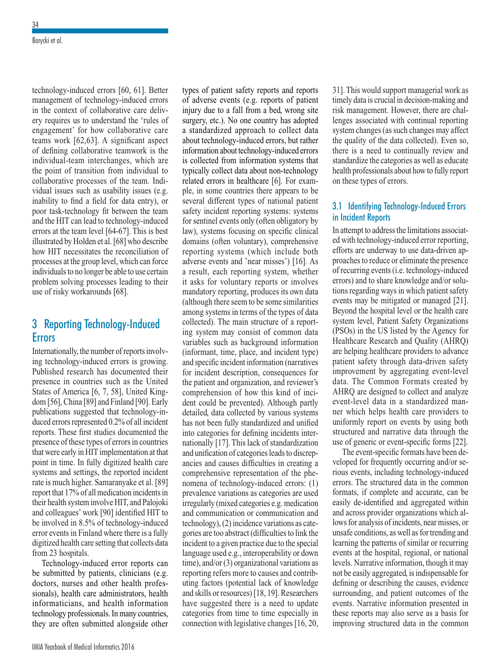technology-induced errors [60, 61]. Better management of technology-induced errors in the context of collaborative care delivery requires us to understand the 'rules of engagement' for how collaborative care teams work [62,63]. A significant aspect of defining collaborative teamwork is the individual-team interchanges, which are the point of transition from individual to collaborative processes of the team. Individual issues such as usability issues (e.g. inability to find a field for data entry), or poor task-technology fit between the team and the HIT can lead to technology-induced errors at the team level [64-67]. This is best illustrated by Holden et al. [68] who describe how HIT necessitates the reconciliation of processes at the group level, which can force individuals to no longer be able to use certain problem solving processes leading to their use of risky workarounds [68].

# 3 Reporting Technology-Induced Errors

Internationally, the number of reports involving technology-induced errors is growing. Published research has documented their presence in countries such as the United States of America [6, 7, 58], United Kingdom [56], China [89] and Finland [90]. Early publications suggested that technology-induced errors represented 0.2% of all incident reports. These first studies documented the presence of these types of errors in countries that were early in HIT implementation at that point in time. In fully digitized health care systems and settings, the reported incident rate is much higher. Samaranyake et al. [89] report that 17% of all medication incidents in their health system involve HIT, and Palojoki and colleagues' work [90] identified HIT to be involved in 8.5% of technology-induced error events in Finland where there is a fully digitized health care setting that collects data from 23 hospitals.

Technology-induced error reports can be submitted by patients, clinicians (e.g. doctors, nurses and other health professionals), health care administrators, health informaticians, and health information technology professionals. In many countries, they are often submitted alongside other types of patient safety reports and reports of adverse events (e.g. reports of patient injury due to a fall from a bed, wrong site surgery, etc.). No one country has adopted a standardized approach to collect data about technology-induced errors, but rather information about technology-induced errors is collected from information systems that typically collect data about non-technology related errors in healthcare [6]. For example, in some countries there appears to be several different types of national patient safety incident reporting systems: systems for sentinel events only (often obligatory by law), systems focusing on specific clinical domains (often voluntary), comprehensive reporting systems (which include both adverse events and 'near misses') [16]. As a result, each reporting system, whether it asks for voluntary reports or involves mandatory reporting, produces its own data (although there seem to be some similarities among systems in terms of the types of data collected). The main structure of a reporting system may consist of common data variables such as background information (informant, time, place, and incident type) and specific incident information (narratives for incident description, consequences for the patient and organization, and reviewer's comprehension of how this kind of incident could be prevented). Although partly detailed, data collected by various systems has not been fully standardized and unified into categories for defining incidents internationally [17]. This lack of standardization and unification of categories leads to discrepancies and causes difficulties in creating a comprehensive representation of the phenomena of technology-induced errors: (1) prevalence variations as categories are used irregularly (mixed categories e.g. medication and communication or communication and technology), (2) incidence variations as categories are too abstract (difficulties to link the incident to a given practice due to the special language used e.g., interoperability or down time), and/or (3) organizational variations as reporting refers more to causes and contributing factors (potential lack of knowledge and skills or resources) [18, 19]. Researchers have suggested there is a need to update categories from time to time especially in connection with legislative changes [16, 20,

31]. This would support managerial work as timely data is crucial in decision-making and risk management. However, there are challenges associated with continual reporting system changes (as such changes may affect the quality of the data collected). Even so, there is a need to continually review and standardize the categories as well as educate health professionals about how to fully report on these types of errors.

# 3.1 Identifying Technology-Induced Errors in Incident Reports

In attempt to address the limitations associated with technology-induced error reporting, efforts are underway to use data-driven approaches to reduce or eliminate the presence of recurring events (i.e. technology-induced errors) and to share knowledge and/or solutions regarding ways in which patient safety events may be mitigated or managed [21]. Beyond the hospital level or the health care system level, Patient Safety Organizations (PSOs) in the US listed by the Agency for Healthcare Research and Quality (AHRQ) are helping healthcare providers to advance patient safety through data-driven safety improvement by aggregating event-level data. The Common Formats created by AHRQ are designed to collect and analyze event-level data in a standardized manner which helps health care providers to uniformly report on events by using both structured and narrative data through the use of generic or event-specific forms [22].

The event-specific formats have been developed for frequently occurring and/or serious events, including technology-induced errors. The structured data in the common formats, if complete and accurate, can be easily de-identified and aggregated within and across provider organizations which allows for analysis of incidents, near misses, or unsafe conditions, as well as for trending and learning the patterns of similar or recurring events at the hospital, regional, or national levels. Narrative information, though it may not be easily aggregated, is indispensable for defining or describing the causes, evidence surrounding, and patient outcomes of the events. Narrative information presented in these reports may also serve as a basis for improving structured data in the common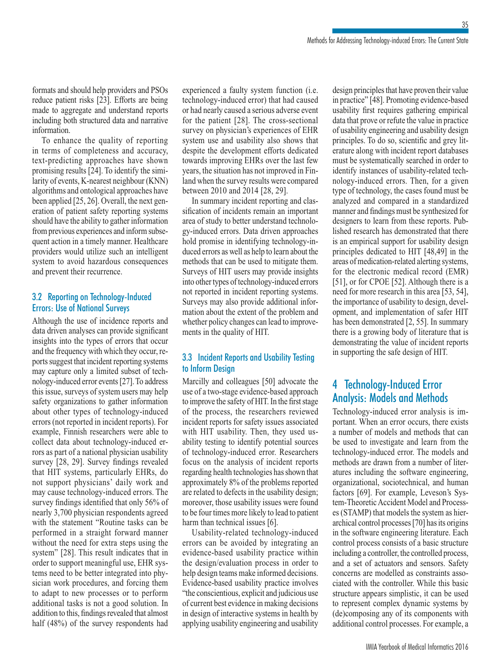35

formats and should help providers and PSOs reduce patient risks [23]. Efforts are being made to aggregate and understand reports including both structured data and narrative information.

To enhance the quality of reporting in terms of completeness and accuracy, text-predicting approaches have shown promising results [24]. To identify the similarity of events, K-nearest neighbour (KNN) algorithms and ontological approaches have been applied [25, 26]. Overall, the next generation of patient safety reporting systems should have the ability to gather information from previous experiences and inform subsequent action in a timely manner. Healthcare providers would utilize such an intelligent system to avoid hazardous consequences and prevent their recurrence.

#### 3.2 Reporting on Technology-Induced Errors: Use of National Surveys

Although the use of incidence reports and data driven analyses can provide significant insights into the types of errors that occur and the frequency with which they occur, reports suggest that incident reporting systems may capture only a limited subset of technology-induced error events [27]. To address this issue, surveys of system users may help safety organizations to gather information about other types of technology-induced errors (not reported in incident reports). For example, Finnish researchers were able to collect data about technology-induced errors as part of a national physician usability survey [28, 29]. Survey findings revealed that HIT systems, particularly EHRs, do not support physicians' daily work and may cause technology-induced errors. The survey findings identified that only 56% of nearly 3,700 physician respondents agreed with the statement "Routine tasks can be performed in a straight forward manner without the need for extra steps using the system" [28]. This result indicates that in order to support meaningful use, EHR systems need to be better integrated into physician work procedures, and forcing them to adapt to new processes or to perform additional tasks is not a good solution. In addition to this, findings revealed that almost half (48%) of the survey respondents had

experienced a faulty system function (i.e. technology-induced error) that had caused or had nearly caused a serious adverse event for the patient [28]. The cross-sectional survey on physician's experiences of EHR system use and usability also shows that despite the development efforts dedicated towards improving EHRs over the last few years, the situation has not improved in Finland when the survey results were compared between 2010 and 2014 [28, 29].

In summary incident reporting and classification of incidents remain an important area of study to better understand technology-induced errors. Data driven approaches hold promise in identifying technology-induced errors as well as help to learn about the methods that can be used to mitigate them. Surveys of HIT users may provide insights into other types of technology-induced errors not reported in incident reporting systems. Surveys may also provide additional information about the extent of the problem and whether policy changes can lead to improvements in the quality of HIT.

## 3.3 Incident Reports and Usability Testing to Inform Design

Marcilly and colleagues [50] advocate the use of a two-stage evidence-based approach to improve the safety of HIT. In the first stage of the process, the researchers reviewed incident reports for safety issues associated with HIT usability. Then, they used usability testing to identify potential sources of technology-induced error. Researchers focus on the analysis of incident reports regarding health technologies has shown that approximately 8% of the problems reported are related to defects in the usability design; moreover, those usability issues were found to be four times more likely to lead to patient harm than technical issues [6].

Usability-related technology-induced errors can be avoided by integrating an evidence-based usability practice within the design/evaluation process in order to help design teams make informed decisions. Evidence-based usability practice involves "the conscientious, explicit and judicious use of current best evidence in making decisions in design of interactive systems in health by applying usability engineering and usability design principles that have proven their value in practice" [48]. Promoting evidence-based usability first requires gathering empirical data that prove or refute the value in practice of usability engineering and usability design principles. To do so, scientific and grey literature along with incident report databases must be systematically searched in order to identify instances of usability-related technology-induced errors. Then, for a given type of technology, the cases found must be analyzed and compared in a standardized manner and findings must be synthesized for designers to learn from these reports. Published research has demonstrated that there is an empirical support for usability design principles dedicated to HIT [48,49] in the areas of medication-related alerting systems, for the electronic medical record (EMR) [51], or for CPOE [52]. Although there is a need for more research in this area [53, 54], the importance of usability to design, development, and implementation of safer HIT has been demonstrated [2, 55]. In summary there is a growing body of literature that is demonstrating the value of incident reports in supporting the safe design of HIT.

# 4 Technology-Induced Error Analysis: Models and Methods

Technology-induced error analysis is important. When an error occurs, there exists a number of models and methods that can be used to investigate and learn from the technology-induced error. The models and methods are drawn from a number of literatures including the software engineering, organizational, sociotechnical, and human factors [69]. For example, Leveson's System-Theoretic Accident Model and Processes (STAMP) that models the system as hierarchical control processes [70] has its origins in the software engineering literature. Each control process consists of a basic structure including a controller, the controlled process, and a set of actuators and sensors. Safety concerns are modelled as constraints associated with the controller. While this basic structure appears simplistic, it can be used to represent complex dynamic systems by (de)composing any of its components with additional control processes. For example, a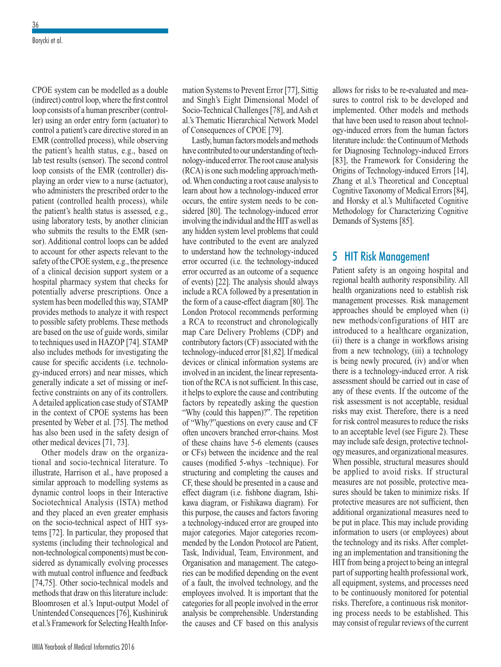CPOE system can be modelled as a double (indirect) control loop, where the first control loop consists of a human prescriber (controller) using an order entry form (actuator) to control a patient's care directive stored in an EMR (controlled process), while observing the patient's health status, e.g., based on lab test results (sensor). The second control loop consists of the EMR (controller) displaying an order view to a nurse (actuator), who administers the prescribed order to the patient (controlled health process), while the patient's health status is assessed, e.g., using laboratory tests, by another clinician who submits the results to the EMR (sensor). Additional control loops can be added to account for other aspects relevant to the safety of the CPOE system, e.g., the presence of a clinical decision support system or a hospital pharmacy system that checks for potentially adverse prescriptions. Once a system has been modelled this way, STAMP provides methods to analyze it with respect to possible safety problems. These methods are based on the use of guide words, similar to techniques used in HAZOP [74]. STAMP also includes methods for investigating the cause for specific accidents (i.e. technology-induced errors) and near misses, which generally indicate a set of missing or ineffective constraints on any of its controllers. A detailed application case study of STAMP in the context of CPOE systems has been presented by Weber et al. [75]. The method has also been used in the safety design of other medical devices [71, 73].

Other models draw on the organizational and socio-technical literature. To illustrate, Harrison et al., have proposed a similar approach to modelling systems as dynamic control loops in their Interactive Sociotechnical Analysis (ISTA) method and they placed an even greater emphasis on the socio-technical aspect of HIT systems [72]. In particular, they proposed that systems (including their technological and non-technological components) must be considered as dynamically evolving processes with mutual control influence and feedback [74,75]. Other socio-technical models and methods that draw on this literature include: Bloomrosen et al.'s Input-output Model of Unintended Consequences [76], Kushiniruk et al.'s Framework for Selecting Health Information Systems to Prevent Error [77], Sittig and Singh's Eight Dimensional Model of Socio-Technical Challenges [78], and Ash et al.'s Thematic Hierarchical Network Model of Consequences of CPOE [79].

Lastly, human factors models and methods have contributed to our understanding of technology-induced error. The root cause analysis (RCA) is one such modeling approach/method. When conducting a root cause analysis to learn about how a technology-induced error occurs, the entire system needs to be considered [80]. The technology-induced error involving the individual and the HIT as well as any hidden system level problems that could have contributed to the event are analyzed to understand how the technology-induced error occurred (i.e. the technology-induced error occurred as an outcome of a sequence of events) [22]. The analysis should always include a RCA followed by a presentation in the form of a cause-effect diagram [80]. The London Protocol recommends performing a RCA to reconstruct and chronologically map Care Delivery Problems (CDP) and contributory factors (CF) associated with the technology-induced error [81,82]. If medical devices or clinical information systems are involved in an incident, the linear representation of the RCA is not sufficient. In this case, it helps to explore the cause and contributing factors by repeatedly asking the question "Why (could this happen)?". The repetition of "Why?"questions on every cause and CF often uncovers branched error-chains. Most of these chains have 5-6 elements (causes or CFs) between the incidence and the real causes (modified 5-whys –technique). For structuring and completing the causes and CF, these should be presented in a cause and effect diagram (i.e. fishbone diagram, Ishikawa diagram, or Fishikawa diagram). For this purpose, the causes and factors favoring a technology-induced error are grouped into major categories. Major categories recommended by the London Protocol are Patient, Task, Individual, Team, Environment, and Organisation and management. The categories can be modified depending on the event of a fault, the involved technology, and the employees involved. It is important that the categories for all people involved in the error analysis be comprehensible. Understanding the causes and CF based on this analysis allows for risks to be re-evaluated and measures to control risk to be developed and implemented. Other models and methods that have been used to reason about technology-induced errors from the human factors literature include: the Continuum of Methods for Diagnosing Technology-induced Errors [83], the Framework for Considering the Origins of Technology-induced Errors [14], Zhang et al.'s Theoretical and Conceptual Cognitive Taxonomy of Medical Errors [84], and Horsky et al.'s Multifaceted Cognitive Methodology for Characterizing Cognitive Demands of Systems [85].

# 5 HIT Risk Management

Patient safety is an ongoing hospital and regional health authority responsibility. All health organizations need to establish risk management processes. Risk management approaches should be employed when (i) new methods/configurations of HIT are introduced to a healthcare organization, (ii) there is a change in workflows arising from a new technology, (iii) a technology is being newly procured, (iv) and/or when there is a technology-induced error. A risk assessment should be carried out in case of any of these events. If the outcome of the risk assessment is not acceptable, residual risks may exist. Therefore, there is a need for risk control measures to reduce the risks to an acceptable level (see Figure 2). These may include safe design, protective technology measures, and organizational measures. When possible, structural measures should be applied to avoid risks. If structural measures are not possible, protective measures should be taken to minimize risks. If protective measures are not sufficient, then additional organizational measures need to be put in place. This may include providing information to users (or employees) about the technology and its risks. After completing an implementation and transitioning the HIT from being a project to being an integral part of supporting health professional work, all equipment, systems, and processes need to be continuously monitored for potential risks. Therefore, a continuous risk monitoring process needs to be established. This may consist of regular reviews of the current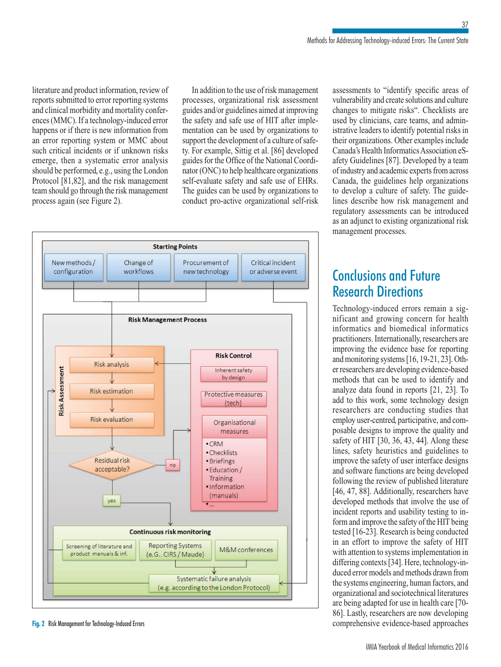37

literature and product information, review of reports submitted to error reporting systems and clinical morbidity and mortality conferences (MMC). If a technology-induced error happens or if there is new information from an error reporting system or MMC about such critical incidents or if unknown risks emerge, then a systematic error analysis should be performed, e.g., using the London Protocol [81,82], and the risk management team should go through the risk management process again (see Figure 2).

In addition to the use of risk management processes, organizational risk assessment guides and/or guidelines aimed at improving the safety and safe use of HIT after implementation can be used by organizations to support the development of a culture of safety. For example, Sittig et al. [86] developed guides for the Office of the National Coordinator (ONC) to help healthcare organizations self-evaluate safety and safe use of EHRs. The guides can be used by organizations to conduct pro-active organizational self-risk



assessments to "identify specific areas of vulnerability and create solutions and culture changes to mitigate risks". Checklists are used by clinicians, care teams, and administrative leaders to identify potential risks in their organizations. Other examples include Canada's Health Informatics Association eSafety Guidelines [87]. Developed by a team of industry and academic experts from across Canada, the guidelines help organizations to develop a culture of safety. The guidelines describe how risk management and regulatory assessments can be introduced as an adjunct to existing organizational risk management processes.

# Conclusions and Future Research Directions

Technology-induced errors remain a significant and growing concern for health informatics and biomedical informatics practitioners. Internationally, researchers are improving the evidence base for reporting and monitoring systems [16, 19-21, 23]. Other researchers are developing evidence-based methods that can be used to identify and analyze data found in reports [21, 23]. To add to this work, some technology design researchers are conducting studies that employ user-centred, participative, and composable designs to improve the quality and safety of HIT [30, 36, 43, 44]. Along these lines, safety heuristics and guidelines to improve the safety of user interface designs and software functions are being developed following the review of published literature [46, 47, 88]. Additionally, researchers have developed methods that involve the use of incident reports and usability testing to inform and improve the safety of the HIT being tested [16-23]. Research is being conducted in an effort to improve the safety of HIT with attention to systems implementation in differing contexts [34]. Here, technology-induced error models and methods drawn from the systems engineering, human factors, and organizational and sociotechnical literatures are being adapted for use in health care [70- 86]. Lastly, researchers are now developing Fig. 2 Risk Management for Technology-Induced Errors comprehensive evidence-based approaches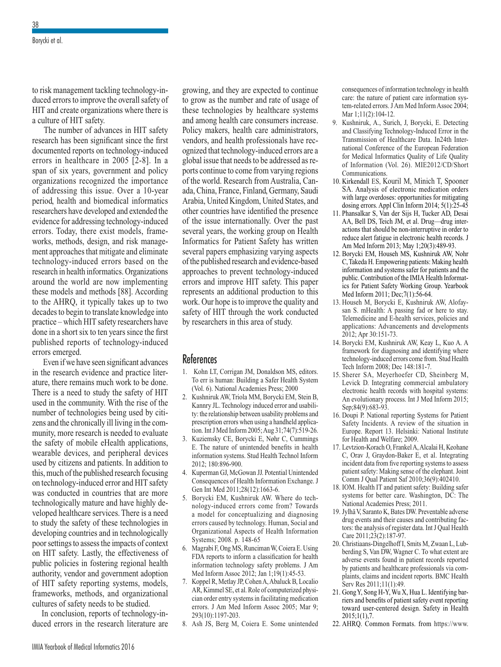Borycki et al.

to risk management tackling technology-induced errors to improve the overall safety of HIT and create organizations where there is a culture of HIT safety.

 The number of advances in HIT safety research has been significant since the first documented reports on technology-induced errors in healthcare in 2005 [2-8]. In a span of six years, government and policy organizations recognized the importance of addressing this issue. Over a 10-year period, health and biomedical informatics researchers have developed and extended the evidence for addressing technology-induced errors. Today, there exist models, frameworks, methods, design, and risk management approaches that mitigate and eliminate technology-induced errors based on the research in health informatics. Organizations around the world are now implementing these models and methods [88]. According to the AHRQ, it typically takes up to two decades to begin to translate knowledge into practice – which HIT safety researchers have done in a short six to ten years since the first published reports of technology-induced errors emerged.

 Even if we have seen significant advances in the research evidence and practice literature, there remains much work to be done. There is a need to study the safety of HIT used in the community. With the rise of the number of technologies being used by citizens and the chronically ill living in the community, more research is needed to evaluate the safety of mobile eHealth applications, wearable devices, and peripheral devices used by citizens and patients. In addition to this, much of the published research focusing on technology-induced error and HIT safety was conducted in countries that are more technologically mature and have highly developed healthcare services. There is a need to study the safety of these technologies in developing countries and in technologically poor settings to assess the impacts of context on HIT safety. Lastly, the effectiveness of public policies in fostering regional health authority, vendor and government adoption of HIT safety reporting systems, models, frameworks, methods, and organizational cultures of safety needs to be studied.

In conclusion, reports of technology-induced errors in the research literature are growing, and they are expected to continue to grow as the number and rate of usage of these technologies by healthcare systems and among health care consumers increase. Policy makers, health care administrators, vendors, and health professionals have recognized that technology-induced errors are a global issue that needs to be addressed as reports continue to come from varying regions of the world. Research from Australia, Canada, China, France, Finland, Germany, Saudi Arabia, United Kingdom, United States, and other countries have identified the presence of the issue internationally. Over the past several years, the working group on Health Informatics for Patient Safety has written several papers emphasizing varying aspects of the published research and evidence-based approaches to prevent technology-induced errors and improve HIT safety. This paper represents an additional production to this work. Our hope is to improve the quality and safety of HIT through the work conducted by researchers in this area of study.

## References

- 1. Kohn LT, Corrigan JM, Donaldson MS, editors. To err is human: Building a Safer Health System (Vol. 6). National Academies Press; 2000
- 2. Kushniruk AW, Triola MM, Borycki EM, Stein B, Kannry JL. Technology induced error and usability: the relationship between usability problems and prescription errors when using a handheld application. Int J Med Inform 2005; Aug 31;74(7):519-26.
- 3. Kuziemsky CE, Borycki E, Nøhr C, Cummings E. The nature of unintended benefits in health information systems. Stud Health Technol Inform 2012; 180:896-900.
- 4. Kuperman GJ, McGowan JJ. Potential Unintended Consequences of Health Information Exchange. J Gen Int Med 2011;28(12):1663-6.
- 5. Borycki EM, Kushniruk AW. Where do technology-induced errors come from? Towards a model for conceptualizing and diagnosing errors caused by technology. Human, Social and Organizational Aspects of Health Information Systems; 2008. p. 148-65
- 6. Magrabi F, Ong MS, Runciman W, Coiera E. Using FDA reports to inform a classification for health information technology safety problems. J Am Med Inform Assoc 2012; Jan 1;19(1):45-53.
- 7. Koppel R, Metlay JP, Cohen A, Abaluck B, Localio AR, Kimmel SE, et al. Role of computerized physician order entry systems in facilitating medication errors. J Am Med Inform Assoc 2005; Mar 9; 293(10):1197-203.
- 8. Ash JS, Berg M, Coiera E. Some unintended

consequences of information technology in health care: the nature of patient care information system-related errors. J Am Med Inform Assoc 2004; Mar 1;11(2):104-12.

- 9. Kushniruk, A., Surich, J, Borycki, E. Detecting and Classifying Technology-Induced Error in the Transmission of Healthcare Data. In24th International Conference of the European Federation for Medical Informatics Quality of Life Quality of Information (Vol. 26). MIE2012/CD/Short Communications.
- 10. Kirkendall ES, Kouril M, Minich T, Spooner SA. Analysis of electronic medication orders with large overdoses: opportunities for mitigating dosing errors. Appl Clin Inform 2014; 5(1):25-45
- 11. Phansalkar S, Van der Sijs H, Tucker AD, Desai AA, Bell DS, Teich JM, et al. Drug—drug interactions that should be non-interruptive in order to reduce alert fatigue in electronic health records. J Am Med Inform 2013; May 1;20(3):489-93.
- 12. Borycki EM, Househ MS, Kushniruk AW, Nohr C, Takeda H. Empowering patients: Making health information and systems safer for patients and the public. Contribution of the IMIA Health Informatics for Patient Safety Working Group. Yearbook Med Inform 2011; Dec;7(1):56-64.
- 13. Househ M, Borycki E, Kushniruk AW, Alofaysan S. mHealth: A passing fad or here to stay. Telemedicine and E-health services, policies and applications: Advancements and developments 2012; Apr 30:151-73.
- 14. Borycki EM, Kushniruk AW, Keay L, Kuo A. A framework for diagnosing and identifying where technology-induced errors come from. Stud Health Tech Inform 2008; Dec 148:181-7.
- 15. Sherer SA, Meyerhoefer CD, Sheinberg M, Levick D. Integrating commercial ambulatory electronic health records with hospital systems: An evolutionary process. Int J Med Inform 2015; Sep;84(9):683-93.
- 16. Doupi P. National reporting Systems for Patient Safety Incidents. A review of the situation in Europe. Report 13. Helsinki: National Institute for Health and Welfare; 2009.
- 17. Levtzion-Korach O, Frankel A, Alcalai H, Keohane C, Orav J, Graydon-Baker E, et al. Integrating incident data from five reporting systems to assess patient safety: Making sense of the elephant. Joint Comm J Qual Patient Saf 2010;36(9):402410.
- 18. IOM. Health IT and patient safety: Building safer systems for better care. Washington, DC: The National Academies Press; 2011.
- 19. Jylhä V, Saranto K, Bates DW. Preventable adverse drug events and their causes and contributing factors: the analysis of register data. Int J Qual Health Care 2011;23(2):187-97.
- 20. Christiaans-Dingelhoff I, Smits M, Zwaan L, Lubberding S, Van DW, Wagner C. To what extent are adverse events found in patient records reported by patients and healthcare professionals via complaints, claims and incident reports. BMC Health Serv Res 2011;11(1):49.
- 21. Gong Y, Song H-Y, Wu X, Hua L. Identifying barriers and benefits of patient safety event reporting toward user-centered design. Safety in Health 2015;1(1),7.
- 22. AHRQ. Common Formats. from https://www.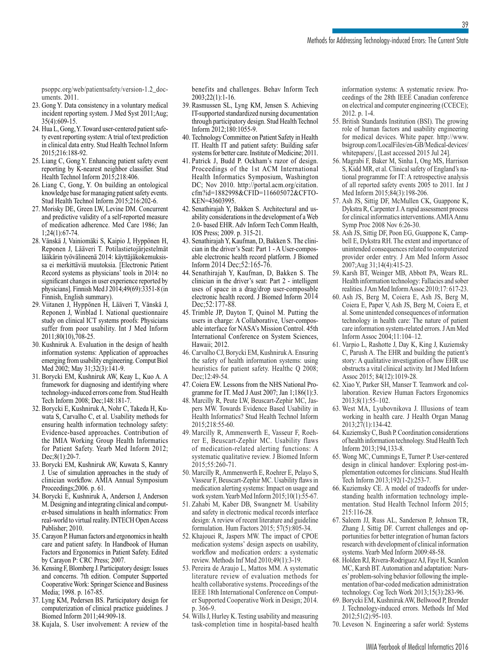psoppc.org/web/patientsafety/version-1.2\_documents. 2011.

- 23. Gong Y. Data consistency in a voluntary medical incident reporting system. J Med Syst 2011;Aug; 35(4):609-15.
- 24. Hua L, Gong, Y. Toward user-centered patient safety event reporting system: A trial of text prediction in clinical data entry. Stud Health Technol Inform 2015;216:188-92.
- 25. Liang C, Gong Y. Enhancing patient safety event reporting by K-nearest neighbor classifier. Stud Health Technol Inform 2015;218:406.
- 26. Liang C, Gong, Y. On building an ontological knowledge base for managing patient safety events. Stud Health Technol Inform 2015;216:202-6.
- 27. Morisky DE, Green LW, Levine DM. Concurrent and predictive validity of a self-reported measure of medication adherence. Med Care 1986; Jan 1;24(1):67-74.
- 28. Vänskä J, Vainiomäki S, Kaipio J, Hyppönen H, Reponen J, Lääveri T. Potilastietojärjestelmät lääkärin työvälineenä 2014: käyttäjäkokemuksissa ei merkittäviä muutoksia. [Electronic Patient Record systems as physicians' tools in 2014: no significant changes in user experience reported by physicians]. Finnish Med J 2014;49(69):3351-8 (in Finnish, English summary).
- 29. Viitanen J, Hyppönen H, Lääveri T, Vänskä J, Reponen J, Winblad I. National questionnaire study on clinical ICT systems proofs: Physicians suffer from poor usability. Int J Med Inform 2011;80(10),708-25.
- 30. Kushniruk A. Evaluation in the design of health information systems: Application of approaches emerging from usability engineering. Comput Biol Med 2002; May 31;32(3):141-9.
- 31. Borycki EM, Kushniruk AW, Keay L, Kuo A. A framework for diagnosing and identifying where technology-induced errors come from. Stud Health Tech Inform 2008; Dec;148:181-7.
- 32. Borycki E, Kushniruk A, Nohr C, Takeda H, Kuwata S, Carvalho C, et al. Usability methods for ensuring health information technology safety: Evidence-based approaches. Contribution of the IMIA Working Group Health Informatics for Patient Safety. Yearb Med Inform 2012; Dec:8(1):20-7.
- 33. Borycki EM, Kushniruk AW, Kuwata S, Kannry J. Use of simulation approaches in the study of clinician workflow. AMIA Annual Symposium Proceedings;2006. p. 61.
- 34. Borycki E, Kushniruk A, Anderson J, Anderson M. Designing and integrating clinical and computer-based simulations in health informatics: From real-world to virtual reality. INTECH Open Access Publisher; 2010.
- 35. Carayon P. Human factors and ergonomics in health care and patient safety. In Handbook of Human Factors and Ergonomics in Patient Safety. Edited by Carayon P: CRC Press; 2007.
- 36. Kensing F, Blomberg J. Participatory design: Issues and concerns. 7th edition. Computer Supported Cooperative Work: Springer Science and Business Media; 1998. p. 167-85.
- 37. Lyng KM, Pedersen BS. Participatory design for computerization of clinical practice guidelines. J Biomed Inform 2011;44:909-18.
- 38. Kujala, S. User involvement: A review of the

benefits and challenges. Behav Inform Tech 2003;22(1):1-16.

- 39. Rasmussen SL, Lyng KM, Jensen S. Achieving IT-supported standardized nursing documentation through participatory design. Stud Health Technol Inform 2012;180:1055-9.
- 40. Technology Committee on Patient Safety in Health IT. Health IT and patient safety: Building safer systems for better care. Institute of Medicine; 2011.
- 41. Patrick J, Budd P. Ockham's razor of design. Proceedings of the 1st ACM International Health Informatics Symposium, Washington DC; Nov 2010. http://portal.acm.org/citation. cfm?id=1882998&CFID=116605072&CFTO-KEN=43603995.
- 42. Senathirajah Y, Bakken S. Architectural and usability considerations in the development of a Web 2.0- based EHR. Adv Inform Tech Comm Health, IOS Press; 2009. p. 315-21.
- 43. Senathirajah Y, Kaufman, D, Bakken S. The clinician in the driver's Seat: Part 1 - A User-composable electronic health record platform. J Biomed Inform 2014 Dec;52:165-76.
- 44. Senathirajah Y, Kaufman, D, Bakken S. The clinician in the driver's seat: Part 2 - intelligent uses of space in a drag/drop user-composable electronic health record. J Biomed Inform 2014 Dec;52:177-88.
- 45. Trimble JP, Dayton T, Quinol M. Putting the users in charge: A Collaborative, User-composable interface for NASA's Mission Control. 45th International Conference on System Sciences, Hawaii; 2012.
- 46. Carvalho CJ, Borycki EM, Kushniruk A. Ensuring the safety of health information systems: using heuristics for patient safety. Healthc Q 2008; Dec;12:49-54.
- 47. Coiera EW. Lessons from the NHS National Programme for IT. Med J Aust 2007; Jan 1;186(1):3.
- 48. Marcilly R, Peute LW, Beuscart-Zephir MC, Jaspers MW. Towards Evidence Based Usability in Health Informatics? Stud Health Technol Inform 2015;218:55-60.
- 49. Marcilly R, Ammenwerth E, Vasseur F, Roehrer E, Beuscart-Zephir MC. Usability flaws of medication-related alerting functions: A systematic qualitative review. J Biomed Inform 2015;55:260-71.
- 50. Marcilly R, Ammenwerth E, Roehrer E, Pelayo S, Vasseur F, Beuscart-Zephir MC. Usability flaws in medication alerting systems: Impact on usage and work system. Yearb Med Inform 2015;10(1):55-67.
- 51. Zahabi M, Kaber DB, Swangnetr M. Usability and safety in electronic medical records interface design: A review of recent literature and guideline formulation. Hum Factors 2015; 57(5):805-34.
- 52. Khajouei R, Jaspers MW. The impact of CPOE medication systems' design aspects on usability, workflow and medication orders: a systematic review. Methods Inf Med 2010;49(1):3-19.
- 53. Pereira de Araujo L, Mattos MM. A systematic literature review of evaluation methods for health collaborative systems. Proceedings of the IEEE 18th International Conference on Computer Supported Cooperative Work in Design; 2014. p. 366-9.
- 54. Wills J, Hurley K. Testing usability and measuring task-completion time in hospital-based health

information systems: A systematic review. Proceedings of the 28th IEEE Canadian conference on electrical and computer engineering (CCECE); 2012. p. 1-4.

- 55. British Standards Institution (BSI). The growing role of human factors and usability engineering for medical devices. White paper. http://www. bsigroup.com/LocalFiles/en-GB/Medical-devices/ whitepapers/, [Last accessed 2015 Jul 24].
- 56. Magrabi F, Baker M, Sinha I, Ong MS, Harrison S, Kidd MR, et al. Clinical safety of England's national programme for IT: A retrospective analysis of all reported safety events 2005 to 2011. Int J Med Inform 2015;84(3):198-206.
- 57. Ash JS, Sittig DF, McMullen CK, Guappone K, Dykstra R, Carpenter J. A rapid assessment process for clinical informatics interventions. AMIA Annu Symp Proc 2008 Nov 6:26-30.
- 58. Ash JS, Sittig DF, Poon EG, Guappone K, Campbell E, Dykstra RH. The extent and importance of unintended consequences related to computerized provider order entry. J Am Med Inform Assoc 2007;Aug 31;14(4):415-23.
- 59. Karsh BT, Weinger MB, Abbott PA, Wears RL. Health information technology: Fallacies and sober realities. J Am Med Inform Assoc 2010;17: 617-23.
- 60. Ash JS, Berg M, Coiera E, Ash JS, Berg M, Coiera E, Paper V, Ash JS, Berg M, Coiera E, et al. Some unintended consequences of information technology in health care: The nature of patient care information system-related errors. J Am Med Inform Assoc 2004;11:104–12.
- 61. Varpio L, Rashotte J, Day K, King J, Kuziemsky C, Parush A. The EHR and building the patient's story: A qualitative investigation of how EHR use obstructs a vital clinical activity. Int J Med Inform Assoc 2015; 84(12):1019-28.
- 62. Xiao Y, Parker SH, Manser T. Teamwork and collaboration. Review Human Factors Ergonomics 2013;8(1):55–102.
- 63. West MA, Lyubovnikova J. Illusions of team working in health care. J Health Organ Manag 2013;27(1):134-42.
- 64. Kuziemsky C, Bush P. Coordination considerations of health information technology. Stud Health Tech Inform 2013;194,133-8.
- 65. Wong MC, Cummings E, Turner P. User-centered design in clinical handover: Exploring post-implementation outcomes for clinicians. Stud Health Tech Inform 2013;192(1-2):253-7.
- 66. Kuziemsky CE. A model of tradeoffs for understanding health information technology implementation. Stud Health Technol Inform 2015; 215:116-28.
- 67. Saleem JJ, Russ AL, Sanderson P, Johnson TR, Zhang J, Sittig DF. Current challenges and opportunities for better integration of human factors research with development of clinical information systems. Yearb Med Inform 2009:48-58.
- 68. Holden RJ, Rivera-Rodriguez AJ, Faye H, Scanlon MC, Karsh BT. Automation and adaptation: Nurses' problem-solving behavior following the implementation of bar-coded medication administration technology. Cog Tech Work 2013;15(3):283-96.
- 69. Borycki EM, Kushniruk AW, Bellwood P, Brender J. Technology-induced errors. Methods Inf Med 2012;51(2):95-103.
- 70. Leveson N. Engineering a safer world: Systems